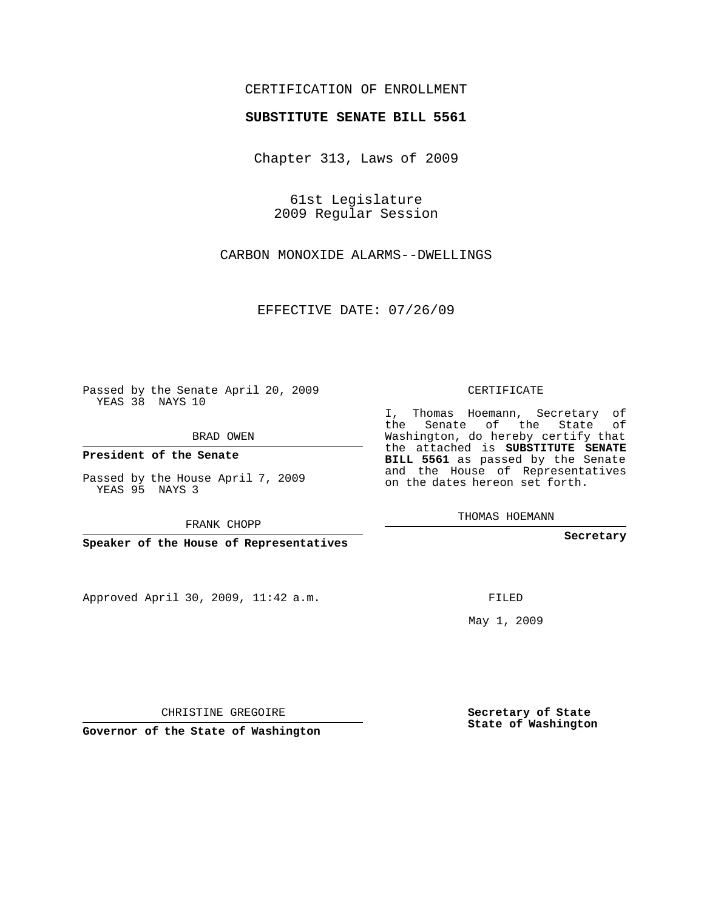## CERTIFICATION OF ENROLLMENT

## **SUBSTITUTE SENATE BILL 5561**

Chapter 313, Laws of 2009

61st Legislature 2009 Regular Session

CARBON MONOXIDE ALARMS--DWELLINGS

EFFECTIVE DATE: 07/26/09

Passed by the Senate April 20, 2009 YEAS 38 NAYS 10

BRAD OWEN

**President of the Senate**

Passed by the House April 7, 2009 YEAS 95 NAYS 3

FRANK CHOPP

**Speaker of the House of Representatives**

Approved April 30, 2009, 11:42 a.m.

CERTIFICATE

I, Thomas Hoemann, Secretary of the Senate of the State of Washington, do hereby certify that the attached is **SUBSTITUTE SENATE BILL 5561** as passed by the Senate and the House of Representatives on the dates hereon set forth.

THOMAS HOEMANN

**Secretary**

FILED

May 1, 2009

**Secretary of State State of Washington**

CHRISTINE GREGOIRE

**Governor of the State of Washington**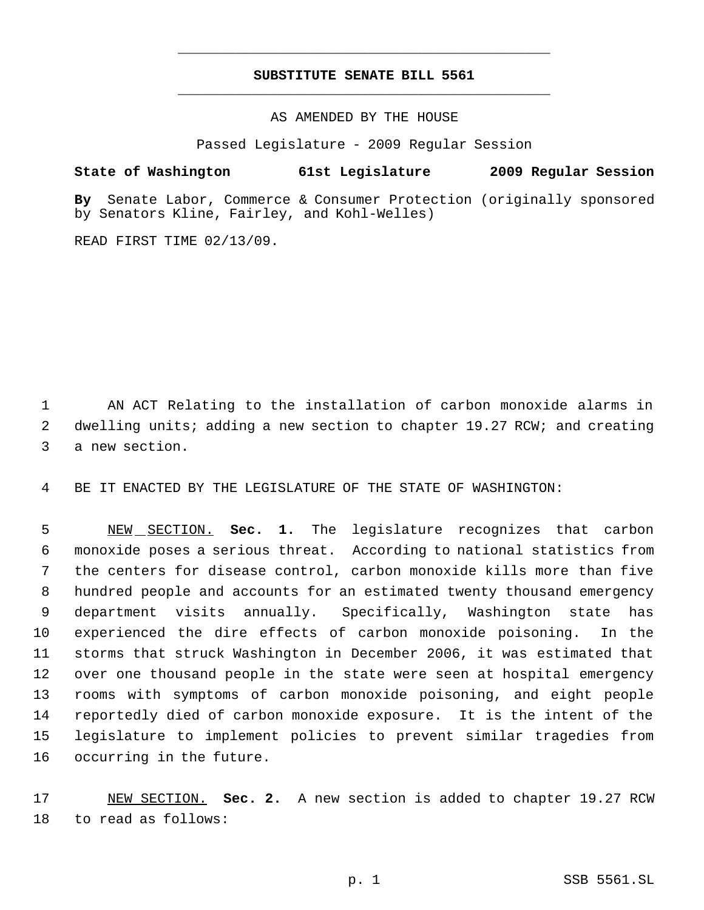## **SUBSTITUTE SENATE BILL 5561** \_\_\_\_\_\_\_\_\_\_\_\_\_\_\_\_\_\_\_\_\_\_\_\_\_\_\_\_\_\_\_\_\_\_\_\_\_\_\_\_\_\_\_\_\_

\_\_\_\_\_\_\_\_\_\_\_\_\_\_\_\_\_\_\_\_\_\_\_\_\_\_\_\_\_\_\_\_\_\_\_\_\_\_\_\_\_\_\_\_\_

AS AMENDED BY THE HOUSE

Passed Legislature - 2009 Regular Session

## **State of Washington 61st Legislature 2009 Regular Session**

**By** Senate Labor, Commerce & Consumer Protection (originally sponsored by Senators Kline, Fairley, and Kohl-Welles)

READ FIRST TIME 02/13/09.

 AN ACT Relating to the installation of carbon monoxide alarms in 2 dwelling units; adding a new section to chapter 19.27 RCW; and creating a new section.

BE IT ENACTED BY THE LEGISLATURE OF THE STATE OF WASHINGTON:

 NEW SECTION. **Sec. 1.** The legislature recognizes that carbon monoxide poses a serious threat. According to national statistics from the centers for disease control, carbon monoxide kills more than five hundred people and accounts for an estimated twenty thousand emergency department visits annually. Specifically, Washington state has experienced the dire effects of carbon monoxide poisoning. In the storms that struck Washington in December 2006, it was estimated that over one thousand people in the state were seen at hospital emergency rooms with symptoms of carbon monoxide poisoning, and eight people reportedly died of carbon monoxide exposure. It is the intent of the legislature to implement policies to prevent similar tragedies from occurring in the future.

 NEW SECTION. **Sec. 2.** A new section is added to chapter 19.27 RCW to read as follows: